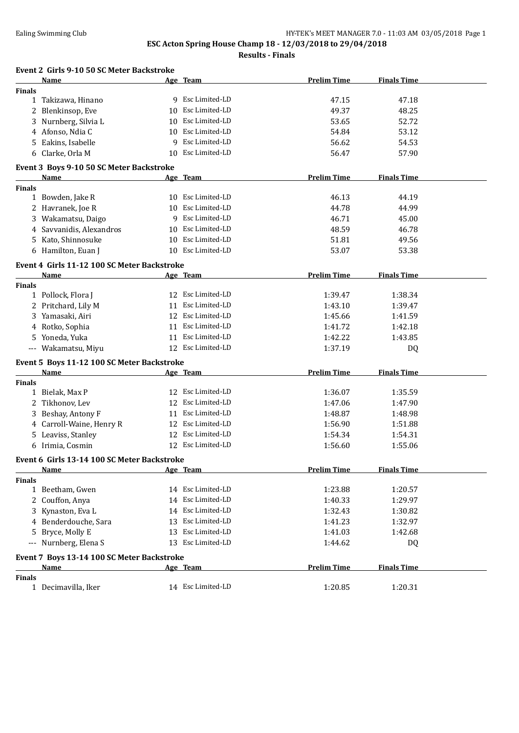**Results - Finals**

|               | Event 2 Girls 9-10 50 SC Meter Backstroke   |    |                   |                    |                    |  |
|---------------|---------------------------------------------|----|-------------------|--------------------|--------------------|--|
|               | Name                                        |    | Age Team          | <b>Prelim Time</b> | <b>Finals Time</b> |  |
| <b>Finals</b> |                                             |    |                   |                    |                    |  |
|               | 1 Takizawa, Hinano                          |    | 9 Esc Limited-LD  | 47.15              | 47.18              |  |
|               | 2 Blenkinsop, Eve                           |    | 10 Esc Limited-LD | 49.37              | 48.25              |  |
|               | 3 Nurnberg, Silvia L                        | 10 | Esc Limited-LD    | 53.65              | 52.72              |  |
|               | 4 Afonso, Ndia C                            | 10 | Esc Limited-LD    | 54.84              | 53.12              |  |
|               | 5 Eakins, Isabelle                          | 9  | Esc Limited-LD    | 56.62              | 54.53              |  |
|               | 6 Clarke, Orla M                            | 10 | Esc Limited-LD    | 56.47              | 57.90              |  |
|               | Event 3 Boys 9-10 50 SC Meter Backstroke    |    |                   |                    |                    |  |
|               | Name                                        |    | Age Team          | <b>Prelim Time</b> | <b>Finals Time</b> |  |
| <b>Finals</b> |                                             |    |                   |                    |                    |  |
|               | 1 Bowden, Jake R                            |    | 10 Esc Limited-LD | 46.13              | 44.19              |  |
|               | 2 Havranek, Joe R                           |    | 10 Esc Limited-LD | 44.78              | 44.99              |  |
|               | 3 Wakamatsu, Daigo                          |    | 9 Esc Limited-LD  | 46.71              | 45.00              |  |
| 4             | Savvanidis, Alexandros                      | 10 | Esc Limited-LD    | 48.59              | 46.78              |  |
|               | 5 Kato, Shinnosuke                          | 10 | Esc Limited-LD    | 51.81              | 49.56              |  |
|               | 6 Hamilton, Euan J                          |    | 10 Esc Limited-LD | 53.07              | 53.38              |  |
|               | Event 4 Girls 11-12 100 SC Meter Backstroke |    |                   |                    |                    |  |
|               | <b>Name</b>                                 |    | Age Team          | <b>Prelim Time</b> | <b>Finals Time</b> |  |
| <b>Finals</b> |                                             |    |                   |                    |                    |  |
|               | 1 Pollock, Flora J                          |    | 12 Esc Limited-LD | 1:39.47            | 1:38.34            |  |
|               | 2 Pritchard, Lily M                         | 11 | Esc Limited-LD    | 1:43.10            | 1:39.47            |  |
| 3             | Yamasaki, Airi                              | 12 | Esc Limited-LD    | 1:45.66            | 1:41.59            |  |
|               | 4 Rotko, Sophia                             | 11 | Esc Limited-LD    | 1:41.72            | 1:42.18            |  |
|               | 5 Yoneda, Yuka                              | 11 | Esc Limited-LD    | 1:42.22            | 1:43.85            |  |
|               | --- Wakamatsu, Miyu                         |    | 12 Esc Limited-LD | 1:37.19            | DQ                 |  |
|               | Event 5 Boys 11-12 100 SC Meter Backstroke  |    |                   |                    |                    |  |
|               | Name                                        |    | Age Team          | <b>Prelim Time</b> | <b>Finals Time</b> |  |
| <b>Finals</b> |                                             |    |                   |                    |                    |  |
|               | 1 Bielak, Max P                             |    | 12 Esc Limited-LD | 1:36.07            | 1:35.59            |  |
|               | 2 Tikhonov, Lev                             | 12 | Esc Limited-LD    | 1:47.06            | 1:47.90            |  |
|               | 3 Beshay, Antony F                          |    | 11 Esc Limited-LD | 1:48.87            | 1:48.98            |  |
|               | 4 Carroll-Waine, Henry R                    |    | 12 Esc Limited-LD | 1:56.90            | 1:51.88            |  |
|               | 5 Leaviss, Stanley                          | 12 | Esc Limited-LD    | 1:54.34            | 1:54.31            |  |
|               | 6 Irimia, Cosmin                            |    | 12 Esc Limited-LD | 1:56.60            | 1:55.06            |  |
|               | Event 6 Girls 13-14 100 SC Meter Backstroke |    |                   |                    |                    |  |
|               | Name                                        |    | Age Team          | <b>Prelim Time</b> | <b>Finals Time</b> |  |
| <b>Finals</b> |                                             |    |                   |                    |                    |  |
|               | 1 Beetham, Gwen                             |    | 14 Esc Limited-LD | 1:23.88            | 1:20.57            |  |
|               | 2 Couffon, Anya                             |    | 14 Esc Limited-LD | 1:40.33            | 1:29.97            |  |
|               | 3 Kynaston, Eva L                           |    | 14 Esc Limited-LD | 1:32.43            | 1:30.82            |  |
|               | 4 Benderdouche, Sara                        |    | 13 Esc Limited-LD | 1:41.23            | 1:32.97            |  |
|               | 5 Bryce, Molly E                            |    | 13 Esc Limited-LD | 1:41.03            | 1:42.68            |  |
|               | --- Nurnberg, Elena S                       |    | 13 Esc Limited-LD | 1:44.62            | DQ                 |  |
|               | Event 7 Boys 13-14 100 SC Meter Backstroke  |    |                   |                    |                    |  |
|               | Name                                        |    | Age Team          | <b>Prelim Time</b> | <b>Finals Time</b> |  |
| <b>Finals</b> |                                             |    |                   |                    |                    |  |
|               | 1 Decimavilla, Iker                         |    | 14 Esc Limited-LD | 1:20.85            | 1:20.31            |  |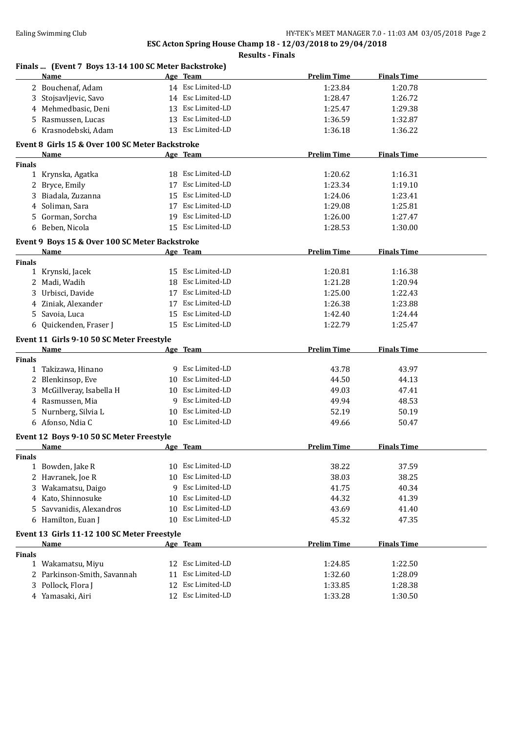### **Finals ... (Event 7 Boys 13-14 100 SC Meter Backstroke) Name Age Team Prelim Time Finals Time** 2 Bouchenaf, Adam 14 Esc Limited-LD 1:23.84 1:20.78 3 Stojsavljevic, Savo 14 Esc Limited-LD 1:28.47 1:26.72 4 Mehmedbasic, Deni 13 Esc Limited-LD 1:25.47 1:29.38 5 Rasmussen, Lucas 13 Esc Limited-LD 1:36.59 1:32.87 6 Krasnodebski, Adam 13 Esc Limited-LD 1:36.18 1:36.22 **Event 8 Girls 15 & Over 100 SC Meter Backstroke Name Age Team Prelim Time Finals Time Finals** 1 Krynska, Agatka 18 Esc Limited-LD 1:20.62 1:16.31 2 Bryce, Emily 17 Esc Limited-LD 1:23.34 1:19.10 3 Biadala, Zuzanna 15 Esc Limited-LD 1:24.06 1:23.41 4 Soliman, Sara 17 Esc Limited-LD 1:29.08 1:25.81 5 Gorman, Sorcha 19 Esc Limited-LD 1:26.00 1:27.47 6 Beben, Nicola 15 Esc Limited-LD 1:28.53 1:30.00 **Event 9 Boys 15 & Over 100 SC Meter Backstroke Name Age Team Prelim Time Finals Time Finals** 1 Krynski, Jacek 15 Esc Limited-LD 1:20.81 1:16.38 2 Madi, Wadih 18 Esc Limited-LD 1:21.28 1:20.94 3 Urbisci, Davide 17 Esc Limited-LD 1:25.00 1:22.43 4 Ziniak, Alexander 17 Esc Limited-LD 1:26.38 1:23.88 5 Savoia, Luca 15 Esc Limited-LD 1:42.40 1:24.44 6 Quickenden, Fraser J 15 Esc Limited-LD 1:22.79 1:25.47 **Event 11 Girls 9-10 50 SC Meter Freestyle Age Team Prelim Time Finals Time Finals** 1 Takizawa, Hinano 9 Esc Limited-LD 43.78 43.97 2 Blenkinsop, Eve 10 Esc Limited-LD 44.50 44.13 3 McGillveray, Isabella H 10 Esc Limited-LD 49.03 47.41 4 Rasmussen, Mia 9 Esc Limited-LD 49.94 48.53 5 Nurnberg, Silvia L<br>
10 Esc Limited-LD<br>
52.19 50.19 6 Afonso, Ndia C 10 Esc Limited-LD 49.66 50.47 **Event 12 Boys 9-10 50 SC Meter Freestyle Age Team Prelim Time Finals Time Finals** 1 Bowden, Jake R 10 Esc Limited-LD 38.22 37.59 2 Havranek, Joe R 10 Esc Limited-LD 38.03 38.25 3 Wakamatsu, Daigo 9 Esc Limited-LD 41.75 40.34 4 Kato, Shinnosuke 10 Esc Limited-LD 44.32 41.39 5 Savvanidis, Alexandros 10 Esc Limited-LD 43.69 41.40 6 Hamilton, Euan J 10 Esc Limited-LD 45.32 47.35 **Event 13 Girls 11-12 100 SC Meter Freestyle Age Team Prelim Time Finals Time Finals** 1 Wakamatsu, Miyu 12 Esc Limited-LD 1:24.85 1:22.50 2 Parkinson-Smith, Savannah 11 Esc Limited-LD 1:32.60 1:28.09 3 Pollock, Flora J 12 Esc Limited-LD 1:33.85 1:28.38 4 Yamasaki, Airi 12 Esc Limited-LD 1:33.28 1:30.50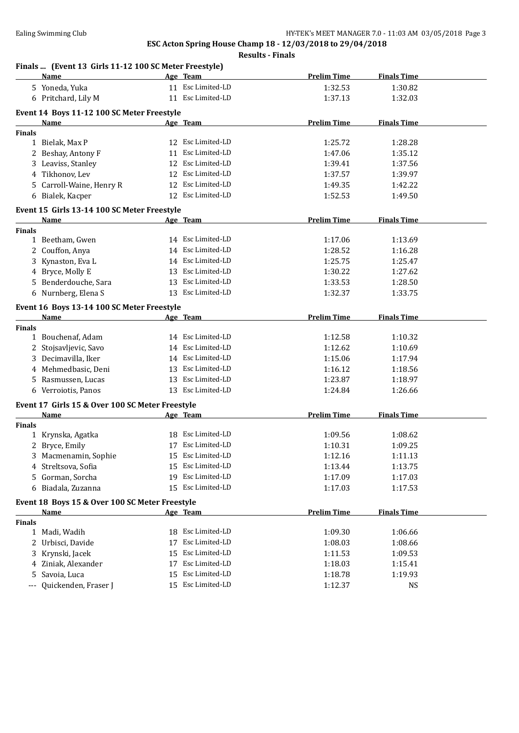### **Results - Finals**

### **Finals ... (Event 13 Girls 11-12 100 SC Meter Freestyle)**

|               | Name                                            |    | Age Team          | <b>Prelim Time</b> | <b>Finals Time</b> |
|---------------|-------------------------------------------------|----|-------------------|--------------------|--------------------|
|               | 5 Yoneda, Yuka                                  |    | 11 Esc Limited-LD | 1:32.53            | 1:30.82            |
|               | 6 Pritchard, Lily M                             |    | 11 Esc Limited-LD | 1:37.13            | 1:32.03            |
|               |                                                 |    |                   |                    |                    |
|               | Event 14 Boys 11-12 100 SC Meter Freestyle      |    |                   | <b>Prelim Time</b> | <b>Finals Time</b> |
|               | Name                                            |    | Age Team          |                    |                    |
| <b>Finals</b> | 1 Bielak, Max P                                 |    | 12 Esc Limited-LD | 1:25.72            | 1:28.28            |
|               | 2 Beshay, Antony F                              |    | 11 Esc Limited-LD | 1:47.06            | 1:35.12            |
|               |                                                 |    | 12 Esc Limited-LD |                    |                    |
|               | 3 Leaviss, Stanley                              |    |                   | 1:39.41            | 1:37.56            |
|               | 4 Tikhonov, Lev                                 |    | 12 Esc Limited-LD | 1:37.57            | 1:39.97            |
|               | 5 Carroll-Waine, Henry R                        |    | 12 Esc Limited-LD | 1:49.35            | 1:42.22            |
|               | 6 Bialek, Kacper                                |    | 12 Esc Limited-LD | 1:52.53            | 1:49.50            |
|               | Event 15 Girls 13-14 100 SC Meter Freestyle     |    |                   |                    |                    |
|               | Name                                            |    | Age Team          | <b>Prelim Time</b> | <b>Finals Time</b> |
| <b>Finals</b> |                                                 |    |                   |                    |                    |
|               | 1 Beetham, Gwen                                 |    | 14 Esc Limited-LD | 1:17.06            | 1:13.69            |
|               | 2 Couffon, Anya                                 |    | 14 Esc Limited-LD | 1:28.52            | 1:16.28            |
|               | 3 Kynaston, Eva L                               |    | 14 Esc Limited-LD | 1:25.75            | 1:25.47            |
|               | 4 Bryce, Molly E                                |    | 13 Esc Limited-LD | 1:30.22            | 1:27.62            |
|               | 5 Benderdouche, Sara                            |    | 13 Esc Limited-LD | 1:33.53            | 1:28.50            |
|               | 6 Nurnberg, Elena S                             |    | 13 Esc Limited-LD | 1:32.37            | 1:33.75            |
|               |                                                 |    |                   |                    |                    |
|               | Event 16 Boys 13-14 100 SC Meter Freestyle      |    |                   |                    |                    |
|               | Name                                            |    | Age Team          | <b>Prelim Time</b> | <b>Finals Time</b> |
| <b>Finals</b> |                                                 |    |                   |                    |                    |
|               | 1 Bouchenaf, Adam                               |    | 14 Esc Limited-LD | 1:12.58            | 1:10.32            |
|               | 2 Stojsavljevic, Savo                           |    | 14 Esc Limited-LD | 1:12.62            | 1:10.69            |
|               | 3 Decimavilla, Iker                             |    | 14 Esc Limited-LD | 1:15.06            | 1:17.94            |
|               | 4 Mehmedbasic, Deni                             |    | 13 Esc Limited-LD | 1:16.12            | 1:18.56            |
|               | 5 Rasmussen, Lucas                              |    | 13 Esc Limited-LD | 1:23.87            | 1:18.97            |
|               | 6 Verroiotis, Panos                             |    | 13 Esc Limited-LD | 1:24.84            | 1:26.66            |
|               | Event 17 Girls 15 & Over 100 SC Meter Freestyle |    |                   |                    |                    |
|               | <b>Name</b>                                     |    | Age Team          | <b>Prelim Time</b> | <b>Finals Time</b> |
| <b>Finals</b> |                                                 |    |                   |                    |                    |
|               | 1 Krynska, Agatka                               |    | 18 Esc Limited-LD | 1:09.56            | 1:08.62            |
|               | 2 Bryce, Emily                                  |    | 17 Esc Limited-LD | 1:10.31            | 1:09.25            |
|               | 3 Macmenamin, Sophie                            |    | 15 Esc Limited-LD | 1:12.16            | 1:11.13            |
| 4             | Streltsova, Sofia                               |    | 15 Esc Limited-LD | 1:13.44            | 1:13.75            |
| 5.            | Gorman, Sorcha                                  | 19 | Esc Limited-LD    | 1:17.09            | 1:17.03            |
|               | 6 Biadala, Zuzanna                              | 15 | Esc Limited-LD    | 1:17.03            | 1:17.53            |
|               |                                                 |    |                   |                    |                    |
|               | Event 18 Boys 15 & Over 100 SC Meter Freestyle  |    |                   |                    |                    |
|               | Name                                            |    | Age Team          | <b>Prelim Time</b> | <b>Finals Time</b> |
| <b>Finals</b> |                                                 |    |                   |                    |                    |
|               | 1 Madi, Wadih                                   | 18 | Esc Limited-LD    | 1:09.30            | 1:06.66            |
| 2             | Urbisci, Davide                                 | 17 | Esc Limited-LD    | 1:08.03            | 1:08.66            |
| 3             | Krynski, Jacek                                  | 15 | Esc Limited-LD    | 1:11.53            | 1:09.53            |
| 4             | Ziniak, Alexander                               | 17 | Esc Limited-LD    | 1:18.03            | 1:15.41            |
| 5             | Savoia, Luca                                    | 15 | Esc Limited-LD    | 1:18.78            | 1:19.93            |
| $---$         | Quickenden, Fraser J                            |    | 15 Esc Limited-LD | 1:12.37            | <b>NS</b>          |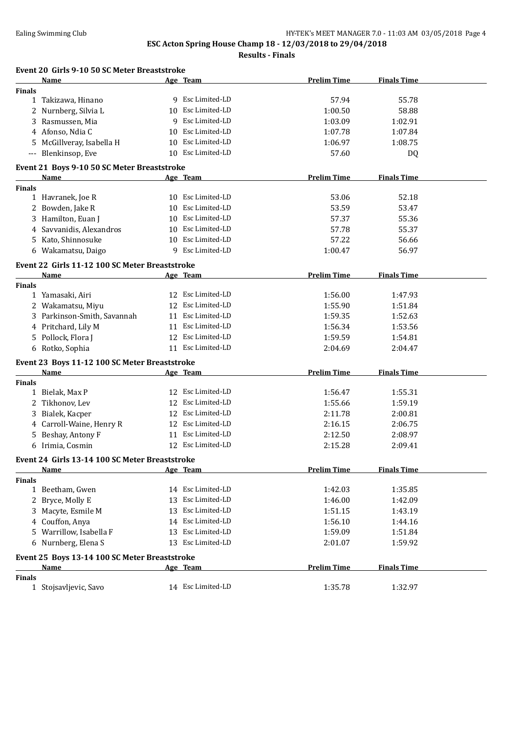**Results - Finals**

|               | Event 20 Girls 9-10 50 SC Meter Breaststroke<br>Name |    | Age Team          | <b>Prelim Time</b> | <b>Finals Time</b> |
|---------------|------------------------------------------------------|----|-------------------|--------------------|--------------------|
| <b>Finals</b> |                                                      |    |                   |                    |                    |
|               | 1 Takizawa, Hinano                                   |    | 9 Esc Limited-LD  | 57.94              | 55.78              |
|               | 2 Nurnberg, Silvia L                                 |    | 10 Esc Limited-LD | 1:00.50            | 58.88              |
| 3             | Rasmussen, Mia                                       | 9  | Esc Limited-LD    | 1:03.09            | 1:02.91            |
|               | 4 Afonso, Ndia C                                     |    | 10 Esc Limited-LD | 1:07.78            | 1:07.84            |
|               | 5 McGillveray, Isabella H                            |    | 10 Esc Limited-LD | 1:06.97            | 1:08.75            |
|               | --- Blenkinsop, Eve                                  |    | 10 Esc Limited-LD | 57.60              | DQ                 |
|               |                                                      |    |                   |                    |                    |
|               | Event 21 Boys 9-10 50 SC Meter Breaststroke          |    |                   |                    |                    |
|               | Name                                                 |    | Age Team          | <b>Prelim Time</b> | <b>Finals Time</b> |
| <b>Finals</b> | 1 Havranek, Joe R                                    |    | 10 Esc Limited-LD | 53.06              | 52.18              |
|               | 2 Bowden, Jake R                                     |    | 10 Esc Limited-LD | 53.59              | 53.47              |
| 3             | Hamilton, Euan J                                     |    | 10 Esc Limited-LD | 57.37              | 55.36              |
| 4             | Savvanidis, Alexandros                               |    | 10 Esc Limited-LD | 57.78              | 55.37              |
|               | 5 Kato, Shinnosuke                                   |    | 10 Esc Limited-LD | 57.22              | 56.66              |
|               | 6 Wakamatsu, Daigo                                   |    | 9 Esc Limited-LD  | 1:00.47            | 56.97              |
|               |                                                      |    |                   |                    |                    |
|               | Event 22 Girls 11-12 100 SC Meter Breaststroke       |    |                   |                    |                    |
|               | Name                                                 |    | Age Team          | <b>Prelim Time</b> | <b>Finals Time</b> |
| <b>Finals</b> |                                                      |    | Esc Limited-LD    |                    |                    |
|               | 1 Yamasaki, Airi                                     | 12 | 12 Esc Limited-LD | 1:56.00            | 1:47.93            |
| 2             | Wakamatsu, Miyu                                      |    |                   | 1:55.90            | 1:51.84            |
| 3             | Parkinson-Smith, Savannah                            |    | 11 Esc Limited-LD | 1:59.35            | 1:52.63            |
|               | 4 Pritchard, Lily M                                  |    | 11 Esc Limited-LD | 1:56.34            | 1:53.56            |
|               | 5 Pollock, Flora J                                   | 12 | Esc Limited-LD    | 1:59.59            | 1:54.81            |
|               | 6 Rotko, Sophia                                      |    | 11 Esc Limited-LD | 2:04.69            | 2:04.47            |
|               | Event 23 Boys 11-12 100 SC Meter Breaststroke        |    |                   |                    |                    |
|               | Name                                                 |    | Age Team          | <b>Prelim Time</b> | <b>Finals Time</b> |
| Finals        |                                                      |    |                   |                    |                    |
|               | 1 Bielak, Max P                                      |    | 12 Esc Limited-LD | 1:56.47            | 1:55.31            |
| 2             | Tikhonov, Lev                                        | 12 | Esc Limited-LD    | 1:55.66            | 1:59.19            |
| 3             | Bialek, Kacper                                       |    | 12 Esc Limited-LD | 2:11.78            | 2:00.81            |
| 4             | Carroll-Waine, Henry R                               |    | 12 Esc Limited-LD | 2:16.15            | 2:06.75            |
| 5             | Beshay, Antony F                                     |    | 11 Esc Limited-LD | 2:12.50            | 2:08.97            |
|               | 6 Irimia, Cosmin                                     |    | 12 Esc Limited-LD | 2:15.28            | 2:09.41            |
|               | Event 24 Girls 13-14 100 SC Meter Breaststroke       |    |                   |                    |                    |
|               | Name                                                 |    | Age Team          | <b>Prelim Time</b> | <b>Finals Time</b> |
| Finals        |                                                      |    |                   |                    |                    |
|               | 1 Beetham, Gwen                                      |    | 14 Esc Limited-LD | 1:42.03            | 1:35.85            |
|               | 2 Bryce, Molly E                                     |    | 13 Esc Limited-LD | 1:46.00            | 1:42.09            |
|               | 3 Macyte, Esmile M                                   |    | 13 Esc Limited-LD | 1:51.15            | 1:43.19            |
|               | 4 Couffon, Anya                                      |    | 14 Esc Limited-LD | 1:56.10            | 1:44.16            |
|               | 5 Warrillow, Isabella F                              |    | 13 Esc Limited-LD | 1:59.09            | 1:51.84            |
|               | 6 Nurnberg, Elena S                                  |    | 13 Esc Limited-LD | 2:01.07            | 1:59.92            |
|               | Event 25 Boys 13-14 100 SC Meter Breaststroke        |    |                   |                    |                    |
|               | Name                                                 |    | Age Team          | <b>Prelim Time</b> | <b>Finals Time</b> |
| <b>Finals</b> |                                                      |    |                   |                    |                    |
|               | 1 Stojsavljevic, Savo                                |    | 14 Esc Limited-LD | 1:35.78            | 1:32.97            |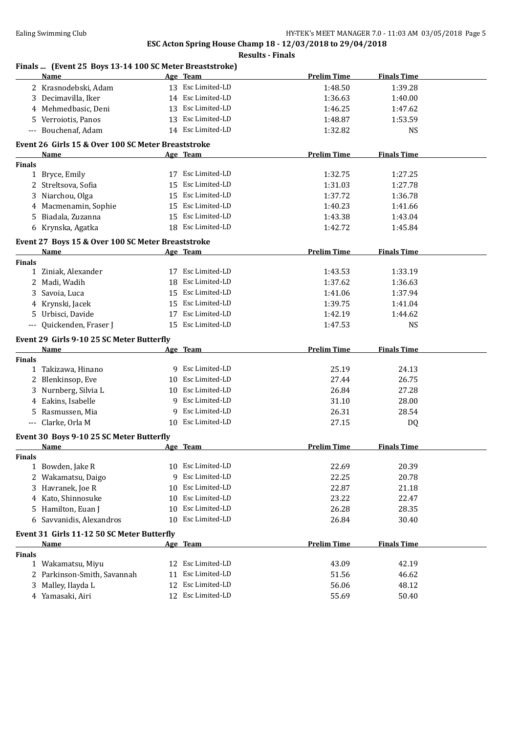|               | Finals  (Event 25 Boys 13-14 100 SC Meter Breaststroke)<br>Name |    | Age Team          | <b>Prelim Time</b> | <b>Finals Time</b> |
|---------------|-----------------------------------------------------------------|----|-------------------|--------------------|--------------------|
|               | 2 Krasnodebski, Adam                                            |    | 13 Esc Limited-LD | 1:48.50            | 1:39.28            |
|               | 3 Decimavilla, Iker                                             |    | 14 Esc Limited-LD | 1:36.63            |                    |
|               | 4 Mehmedbasic, Deni                                             |    | 13 Esc Limited-LD | 1:46.25            | 1:40.00<br>1:47.62 |
|               | Verroiotis, Panos                                               |    | 13 Esc Limited-LD | 1:48.87            | 1:53.59            |
| 5.            | --- Bouchenaf, Adam                                             |    | 14 Esc Limited-LD |                    |                    |
|               |                                                                 |    |                   | 1:32.82            | <b>NS</b>          |
|               | Event 26 Girls 15 & Over 100 SC Meter Breaststroke              |    |                   |                    |                    |
|               | Name                                                            |    | Age Team          | <b>Prelim Time</b> | <b>Finals Time</b> |
| <b>Finals</b> |                                                                 |    |                   |                    |                    |
|               | 1 Bryce, Emily                                                  |    | 17 Esc Limited-LD | 1:32.75            | 1:27.25            |
|               | 2 Streltsova, Sofia                                             |    | 15 Esc Limited-LD | 1:31.03            | 1:27.78            |
| 3             | Niarchou, Olga                                                  |    | 15 Esc Limited-LD | 1:37.72            | 1:36.78            |
| 4             | Macmenamin, Sophie                                              |    | 15 Esc Limited-LD | 1:40.23            | 1:41.66            |
| 5             | Biadala, Zuzanna                                                |    | 15 Esc Limited-LD | 1:43.38            | 1:43.04            |
|               | 6 Krynska, Agatka                                               |    | 18 Esc Limited-LD | 1:42.72            | 1:45.84            |
|               | Event 27 Boys 15 & Over 100 SC Meter Breaststroke               |    |                   |                    |                    |
|               | Name                                                            |    | Age Team          | <b>Prelim Time</b> | <b>Finals Time</b> |
| <b>Finals</b> |                                                                 |    |                   |                    |                    |
|               | 1 Ziniak, Alexander                                             |    | 17 Esc Limited-LD | 1:43.53            | 1:33.19            |
|               | 2 Madi, Wadih                                                   |    | 18 Esc Limited-LD | 1:37.62            | 1:36.63            |
|               | 3 Savoia, Luca                                                  |    | 15 Esc Limited-LD | 1:41.06            | 1:37.94            |
|               | 4 Krynski, Jacek                                                |    | 15 Esc Limited-LD | 1:39.75            | 1:41.04            |
|               | 5 Urbisci, Davide                                               |    | 17 Esc Limited-LD | 1:42.19            | 1:44.62            |
|               | --- Quickenden, Fraser J                                        |    | 15 Esc Limited-LD | 1:47.53            | <b>NS</b>          |
|               | Event 29 Girls 9-10 25 SC Meter Butterfly                       |    |                   |                    |                    |
|               | Name                                                            |    | Age Team          | <b>Prelim Time</b> | <b>Finals Time</b> |
| <b>Finals</b> |                                                                 |    |                   |                    |                    |
|               | 1 Takizawa, Hinano                                              |    | 9 Esc Limited-LD  | 25.19              | 24.13              |
|               | 2 Blenkinsop, Eve                                               |    | 10 Esc Limited-LD | 27.44              | 26.75              |
|               | 3 Nurnberg, Silvia L                                            |    | 10 Esc Limited-LD | 26.84              | 27.28              |
| 4             | Eakins, Isabelle                                                | 9  | Esc Limited-LD    | 31.10              | 28.00              |
| 5             | Rasmussen, Mia                                                  | 9  | Esc Limited-LD    | 26.31              | 28.54              |
|               | --- Clarke, Orla M                                              | 10 | Esc Limited-LD    | 27.15              | DQ                 |
|               | Event 30 Boys 9-10 25 SC Meter Butterfly                        |    |                   |                    |                    |
|               | <b>Example 2</b> Age Team<br><u>Name</u>                        |    |                   | <b>Prelim Time</b> | <b>Finals Time</b> |
| <b>Finals</b> |                                                                 |    |                   |                    |                    |
|               | 1 Bowden, Jake R                                                |    | 10 Esc Limited-LD | 22.69              | 20.39              |
| 2             | Wakamatsu, Daigo                                                | 9  | Esc Limited-LD    | 22.25              | 20.78              |
| 3             | Havranek, Joe R                                                 | 10 | Esc Limited-LD    | 22.87              | 21.18              |
| 4             | Kato, Shinnosuke                                                | 10 | Esc Limited-LD    | 23.22              | 22.47              |
| 5             | Hamilton, Euan J                                                | 10 | Esc Limited-LD    | 26.28              | 28.35              |
| 6             | Savvanidis, Alexandros                                          | 10 | Esc Limited-LD    | 26.84              | 30.40              |
|               | Event 31 Girls 11-12 50 SC Meter Butterfly                      |    |                   |                    |                    |
|               | <b>Name</b>                                                     |    | Age Team          | <b>Prelim Time</b> | <b>Finals Time</b> |
| <b>Finals</b> |                                                                 |    |                   |                    |                    |
|               | 1 Wakamatsu, Miyu                                               | 12 | Esc Limited-LD    | 43.09              | 42.19              |
|               |                                                                 |    |                   |                    |                    |
|               |                                                                 | 11 | Esc Limited-LD    |                    |                    |
| 3             | 2 Parkinson-Smith, Savannah<br>Malley, Ilayda L                 | 12 | Esc Limited-LD    | 51.56<br>56.06     | 46.62<br>48.12     |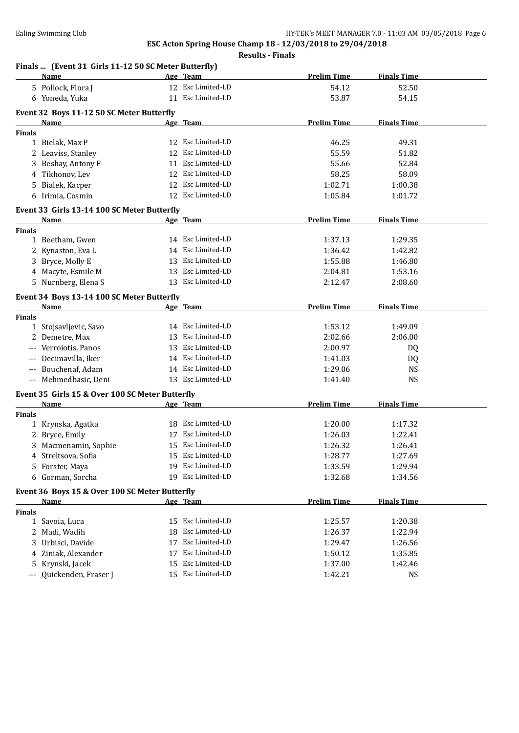| Finals  (Event 31 Girls 11-12 50 SC Meter Butterfly)<br><b>Name</b> | Age Team                | <b>Prelim Time</b> | <b>Finals Time</b> |  |
|---------------------------------------------------------------------|-------------------------|--------------------|--------------------|--|
| 5 Pollock, Flora J                                                  | 12 Esc Limited-LD       | 54.12              | 52.50              |  |
| 6 Yoneda, Yuka                                                      | 11 Esc Limited-LD       | 53.87              | 54.15              |  |
| Event 32 Boys 11-12 50 SC Meter Butterfly                           |                         |                    |                    |  |
| Name                                                                | Age Team                | <b>Prelim Time</b> | <b>Finals Time</b> |  |
| <b>Finals</b>                                                       |                         |                    |                    |  |
| 1 Bielak, Max P                                                     | 12 Esc Limited-LD       | 46.25              | 49.31              |  |
| 2 Leaviss, Stanley                                                  | 12 Esc Limited-LD       | 55.59              | 51.82              |  |
| 3 Beshay, Antony F                                                  | 11 Esc Limited-LD       | 55.66              | 52.84              |  |
| 4 Tikhonov, Lev                                                     | 12 Esc Limited-LD       | 58.25              | 58.09              |  |
| 5 Bialek, Kacper                                                    | 12 Esc Limited-LD       | 1:02.71            | 1:00.38            |  |
| 6 Irimia, Cosmin                                                    | 12 Esc Limited-LD       | 1:05.84            | 1:01.72            |  |
|                                                                     |                         |                    |                    |  |
| Event 33 Girls 13-14 100 SC Meter Butterfly                         |                         |                    |                    |  |
| Name                                                                | Age Team                | <b>Prelim Time</b> | <b>Finals Time</b> |  |
| <b>Finals</b>                                                       |                         |                    |                    |  |
| 1 Beetham, Gwen                                                     | 14 Esc Limited-LD       | 1:37.13            | 1:29.35            |  |
| 2 Kynaston, Eva L                                                   | 14 Esc Limited-LD       | 1:36.42            | 1:42.82            |  |
| 3 Bryce, Molly E                                                    | 13 Esc Limited-LD       | 1:55.88            | 1:46.80            |  |
| 4 Macyte, Esmile M                                                  | 13 Esc Limited-LD       | 2:04.81            | 1:53.16            |  |
| 5 Nurnberg, Elena S                                                 | 13 Esc Limited-LD       | 2:12.47            | 2:08.60            |  |
| Event 34 Boys 13-14 100 SC Meter Butterfly                          |                         |                    |                    |  |
| Name                                                                | Age Team                | <b>Prelim Time</b> | <b>Finals Time</b> |  |
| <b>Finals</b>                                                       |                         |                    |                    |  |
| 1 Stojsavljevic, Savo                                               | 14 Esc Limited-LD       | 1:53.12            | 1:49.09            |  |
| 2 Demetre, Max                                                      | 13 Esc Limited-LD       | 2:02.66            | 2:06.00            |  |
| Verroiotis, Panos<br>$---$                                          | 13 Esc Limited-LD       | 2:00.97            | DQ                 |  |
| Decimavilla, Iker<br>$-\, -\, -$                                    | 14 Esc Limited-LD       | 1:41.03            | DQ                 |  |
| Bouchenaf, Adam<br>$\scriptstyle\cdots$                             | 14 Esc Limited-LD       | 1:29.06            | <b>NS</b>          |  |
| --- Mehmedbasic, Deni                                               | 13 Esc Limited-LD       | 1:41.40            | <b>NS</b>          |  |
|                                                                     |                         |                    |                    |  |
| Event 35 Girls 15 & Over 100 SC Meter Butterfly                     |                         | <b>Prelim Time</b> |                    |  |
| Name<br><b>Finals</b>                                               | Age Team                |                    | <b>Finals Time</b> |  |
| 1 Krynska, Agatka                                                   | 18 Esc Limited-LD       | 1:20.00            | 1:17.32            |  |
| Bryce, Emily<br>2                                                   | 17 Esc Limited-LD       | 1:26.03            | 1:22.41            |  |
| 3 Macmenamin, Sophie                                                | 15 Esc Limited-LD       | 1:26.32            | 1:26.41            |  |
|                                                                     | 15 Esc Limited-LD       |                    |                    |  |
| 4 Streltsova, Sofia                                                 | Esc Limited-LD          | 1:28.77            | 1:27.69            |  |
| Forster, Maya<br>5.                                                 | 19<br>19 Esc Limited-LD | 1:33.59            | 1:29.94            |  |
| 6 Gorman, Sorcha                                                    |                         | 1:32.68            | 1:34.56            |  |
| Event 36 Boys 15 & Over 100 SC Meter Butterfly                      |                         |                    |                    |  |
| Name                                                                | Age Team                | <b>Prelim Time</b> | <b>Finals Time</b> |  |
| Finals                                                              |                         |                    |                    |  |
| 1 Savoia, Luca                                                      | Esc Limited-LD<br>15    | 1:25.57            | 1:20.38            |  |
| Madi, Wadih<br>2                                                    | Esc Limited-LD<br>18    | 1:26.37            | 1:22.94            |  |
| Urbisci, Davide<br>3                                                | Esc Limited-LD<br>17    | 1:29.47            | 1:26.56            |  |
| Ziniak, Alexander<br>4                                              | Esc Limited-LD<br>17    | 1:50.12            | 1:35.85            |  |
| Krynski, Jacek<br>5                                                 | Esc Limited-LD<br>15    | 1:37.00            | 1:42.46            |  |
| Quickenden, Fraser J<br>$---$                                       | 15 Esc Limited-LD       | 1:42.21            | <b>NS</b>          |  |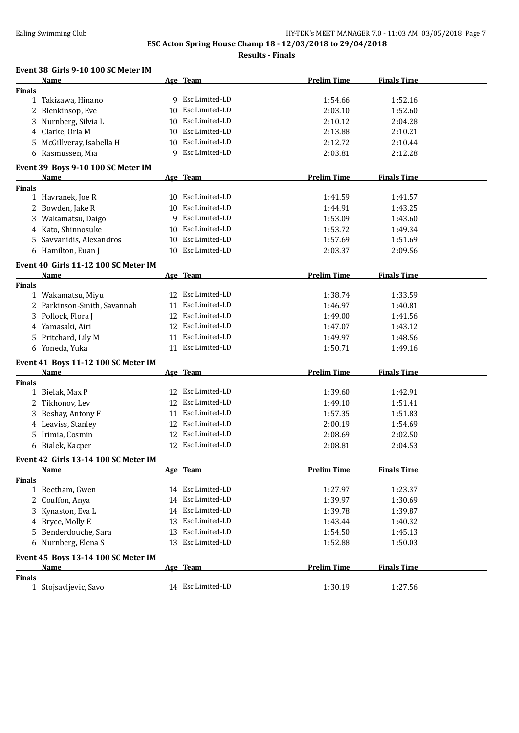**Results - Finals**

#### **Event 38 Girls 9-10 100 SC Meter IM**

|               | <b>Name</b>                          | Age Team             | <b>Prelim Time</b> | <b>Finals Time</b> |  |
|---------------|--------------------------------------|----------------------|--------------------|--------------------|--|
| <b>Finals</b> |                                      |                      |                    |                    |  |
|               | 1 Takizawa, Hinano                   | 9 Esc Limited-LD     | 1:54.66            | 1:52.16            |  |
|               | 2 Blenkinsop, Eve                    | 10 Esc Limited-LD    | 2:03.10            | 1:52.60            |  |
|               | 3 Nurnberg, Silvia L                 | 10 Esc Limited-LD    | 2:10.12            | 2:04.28            |  |
|               | 4 Clarke, Orla M                     | 10 Esc Limited-LD    | 2:13.88            | 2:10.21            |  |
|               | 5 McGillveray, Isabella H            | 10 Esc Limited-LD    | 2:12.72            | 2:10.44            |  |
|               | 6 Rasmussen, Mia                     | 9 Esc Limited-LD     | 2:03.81            |                    |  |
|               |                                      |                      |                    | 2:12.28            |  |
|               | Event 39 Boys 9-10 100 SC Meter IM   |                      |                    |                    |  |
|               | <b>Name</b>                          | Age Team             | <b>Prelim Time</b> | <b>Finals Time</b> |  |
| <b>Finals</b> |                                      |                      |                    |                    |  |
|               | 1 Havranek, Joe R                    | 10 Esc Limited-LD    | 1:41.59            | 1:41.57            |  |
|               | 2 Bowden, Jake R                     | 10 Esc Limited-LD    | 1:44.91            | 1:43.25            |  |
|               | 3 Wakamatsu, Daigo                   | Esc Limited-LD<br>9  | 1:53.09            | 1:43.60            |  |
|               | 4 Kato, Shinnosuke                   | 10 Esc Limited-LD    | 1:53.72            | 1:49.34            |  |
|               | 5 Savvanidis, Alexandros             | Esc Limited-LD<br>10 | 1:57.69            | 1:51.69            |  |
|               | 6 Hamilton, Euan J                   | 10 Esc Limited-LD    | 2:03.37            | 2:09.56            |  |
|               |                                      |                      |                    |                    |  |
|               | Event 40 Girls 11-12 100 SC Meter IM |                      |                    |                    |  |
|               | <b>Name</b>                          | Age Team             | <b>Prelim Time</b> | <b>Finals Time</b> |  |
| <b>Finals</b> |                                      |                      |                    |                    |  |
|               | 1 Wakamatsu, Miyu                    | 12 Esc Limited-LD    | 1:38.74            | 1:33.59            |  |
|               | 2 Parkinson-Smith, Savannah          | Esc Limited-LD<br>11 | 1:46.97            | 1:40.81            |  |
|               | 3 Pollock, Flora J                   | 12 Esc Limited-LD    | 1:49.00            | 1:41.56            |  |
|               | 4 Yamasaki, Airi                     | 12 Esc Limited-LD    | 1:47.07            | 1:43.12            |  |
|               | 5 Pritchard, Lily M                  | Esc Limited-LD<br>11 | 1:49.97            | 1:48.56            |  |
|               | 6 Yoneda, Yuka                       | 11 Esc Limited-LD    | 1:50.71            | 1:49.16            |  |
|               |                                      |                      |                    |                    |  |
|               | Event 41 Boys 11-12 100 SC Meter IM  |                      | <b>Prelim Time</b> | <b>Finals Time</b> |  |
|               | Name                                 | Age Team             |                    |                    |  |
| <b>Finals</b> | 1 Bielak, Max P                      | 12 Esc Limited-LD    | 1:39.60            | 1:42.91            |  |
|               |                                      | 12 Esc Limited-LD    |                    |                    |  |
|               | 2 Tikhonov, Lev                      |                      | 1:49.10            | 1:51.41            |  |
| 3             | Beshay, Antony F                     | 11 Esc Limited-LD    | 1:57.35            | 1:51.83            |  |
|               | 4 Leaviss, Stanley                   | 12 Esc Limited-LD    | 2:00.19            | 1:54.69            |  |
|               | 5 Irimia, Cosmin                     | 12 Esc Limited-LD    | 2:08.69            | 2:02.50            |  |
|               | 6 Bialek, Kacper                     | 12 Esc Limited-LD    | 2:08.81            | 2:04.53            |  |
|               | Event 42 Girls 13-14 100 SC Meter IM |                      |                    |                    |  |
|               | <u>Name</u>                          | Age Team             | <b>Prelim Time</b> | <b>Finals Time</b> |  |
| <b>Finals</b> |                                      |                      |                    |                    |  |
|               | 1 Beetham, Gwen                      | 14 Esc Limited-LD    | 1:27.97            | 1:23.37            |  |
|               | 2 Couffon, Anya                      | 14 Esc Limited-LD    | 1:39.97            | 1:30.69            |  |
|               | 3 Kynaston, Eva L                    | 14 Esc Limited-LD    | 1:39.78            | 1:39.87            |  |
|               | 4 Bryce, Molly E                     | 13 Esc Limited-LD    | 1:43.44            | 1:40.32            |  |
|               | 5 Benderdouche, Sara                 | Esc Limited-LD<br>13 | 1:54.50            | 1:45.13            |  |
|               |                                      |                      |                    |                    |  |
|               | 6 Nurnberg, Elena S                  | 13 Esc Limited-LD    | 1:52.88            | 1:50.03            |  |
|               | Event 45 Boys 13-14 100 SC Meter IM  |                      |                    |                    |  |
|               | <b>Name</b>                          | Age Team             | <b>Prelim Time</b> | <b>Finals Time</b> |  |
| <b>Finals</b> |                                      |                      |                    |                    |  |
|               | 1 Stojsavljevic, Savo                | 14 Esc Limited-LD    | 1:30.19            | 1:27.56            |  |
|               |                                      |                      |                    |                    |  |